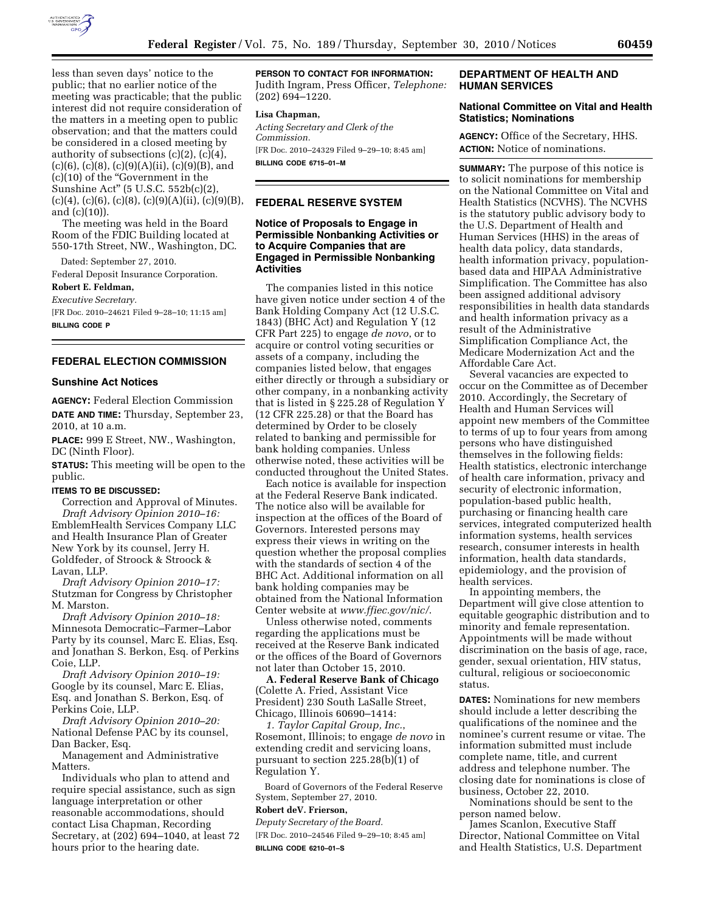

less than seven days' notice to the public; that no earlier notice of the meeting was practicable; that the public interest did not require consideration of the matters in a meeting open to public observation; and that the matters could be considered in a closed meeting by authority of subsections  $(c)(2)$ ,  $(c)(4)$ ,  $(c)(6)$ ,  $(c)(8)$ ,  $(c)(9)(A)(ii)$ ,  $(c)(9)(B)$ , and (c)(10) of the ''Government in the Sunshine Act'' (5 U.S.C. 552b(c)(2),  $(c)(4)$ ,  $(c)(6)$ ,  $(c)(8)$ ,  $(c)(9)(A)(ii)$ ,  $(c)(9)(B)$ , and (c)(10)).

The meeting was held in the Board Room of the FDIC Building located at 550-17th Street, NW., Washington, DC.

Dated: September 27, 2010.

Federal Deposit Insurance Corporation.

# **Robert E. Feldman,**

*Executive Secretary.*  [FR Doc. 2010–24621 Filed 9–28–10; 11:15 am] **BILLING CODE P** 

# **FEDERAL ELECTION COMMISSION**

#### **Sunshine Act Notices**

**AGENCY:** Federal Election Commission **DATE AND TIME:** Thursday, September 23, 2010, at 10 a.m.

**PLACE:** 999 E Street, NW., Washington, DC (Ninth Floor).

**STATUS:** This meeting will be open to the public.

#### **ITEMS TO BE DISCUSSED:**

Correction and Approval of Minutes. *Draft Advisory Opinion 2010–16:*  EmblemHealth Services Company LLC and Health Insurance Plan of Greater New York by its counsel, Jerry H. Goldfeder, of Stroock & Stroock & Lavan, LLP.

*Draft Advisory Opinion 2010–17:*  Stutzman for Congress by Christopher M. Marston.

*Draft Advisory Opinion 2010–18:*  Minnesota Democratic–Farmer–Labor Party by its counsel, Marc E. Elias, Esq. and Jonathan S. Berkon, Esq. of Perkins Coie, LLP.

*Draft Advisory Opinion 2010–19:*  Google by its counsel, Marc E. Elias, Esq. and Jonathan S. Berkon, Esq. of Perkins Coie, LLP.

*Draft Advisory Opinion 2010–20:*  National Defense PAC by its counsel, Dan Backer, Esq.

Management and Administrative Matters.

Individuals who plan to attend and require special assistance, such as sign language interpretation or other reasonable accommodations, should contact Lisa Chapman, Recording Secretary, at (202) 694–1040, at least 72 hours prior to the hearing date.

**PERSON TO CONTACT FOR INFORMATION:**  Judith Ingram, Press Officer, *Telephone:*  (202) 694–1220.

#### **Lisa Chapman,**

*Acting Secretary and Clerk of the Commission.*  [FR Doc. 2010–24329 Filed 9–29–10; 8:45 am] **BILLING CODE 6715–01–M** 

# **FEDERAL RESERVE SYSTEM**

# **Notice of Proposals to Engage in Permissible Nonbanking Activities or to Acquire Companies that are Engaged in Permissible Nonbanking Activities**

The companies listed in this notice have given notice under section 4 of the Bank Holding Company Act (12 U.S.C. 1843) (BHC Act) and Regulation Y (12 CFR Part 225) to engage *de novo*, or to acquire or control voting securities or assets of a company, including the companies listed below, that engages either directly or through a subsidiary or other company, in a nonbanking activity that is listed in § 225.28 of Regulation Y (12 CFR 225.28) or that the Board has determined by Order to be closely related to banking and permissible for bank holding companies. Unless otherwise noted, these activities will be conducted throughout the United States.

Each notice is available for inspection at the Federal Reserve Bank indicated. The notice also will be available for inspection at the offices of the Board of Governors. Interested persons may express their views in writing on the question whether the proposal complies with the standards of section 4 of the BHC Act. Additional information on all bank holding companies may be obtained from the National Information Center website at *[www.ffiec.gov/nic/](http://www.ffiec.gov/nic/)*.

Unless otherwise noted, comments regarding the applications must be received at the Reserve Bank indicated or the offices of the Board of Governors not later than October 15, 2010.

**A. Federal Reserve Bank of Chicago**  (Colette A. Fried, Assistant Vice President) 230 South LaSalle Street, Chicago, Illinois 60690–1414:

*1. Taylor Capital Group, Inc.*, Rosemont, Illinois; to engage *de novo* in extending credit and servicing loans, pursuant to section 225.28(b)(1) of Regulation Y.

Board of Governors of the Federal Reserve System, September 27, 2010.

# **Robert deV. Frierson,**

*Deputy Secretary of the Board.* 

[FR Doc. 2010–24546 Filed 9–29–10; 8:45 am] **BILLING CODE 6210–01–S** 

# **DEPARTMENT OF HEALTH AND HUMAN SERVICES**

# **National Committee on Vital and Health Statistics; Nominations**

**AGENCY:** Office of the Secretary, HHS. **ACTION:** Notice of nominations.

**SUMMARY:** The purpose of this notice is to solicit nominations for membership on the National Committee on Vital and Health Statistics (NCVHS). The NCVHS is the statutory public advisory body to the U.S. Department of Health and Human Services (HHS) in the areas of health data policy, data standards, health information privacy, populationbased data and HIPAA Administrative Simplification. The Committee has also been assigned additional advisory responsibilities in health data standards and health information privacy as a result of the Administrative Simplification Compliance Act, the Medicare Modernization Act and the Affordable Care Act.

Several vacancies are expected to occur on the Committee as of December 2010. Accordingly, the Secretary of Health and Human Services will appoint new members of the Committee to terms of up to four years from among persons who have distinguished themselves in the following fields: Health statistics, electronic interchange of health care information, privacy and security of electronic information, population-based public health, purchasing or financing health care services, integrated computerized health information systems, health services research, consumer interests in health information, health data standards, epidemiology, and the provision of health services.

In appointing members, the Department will give close attention to equitable geographic distribution and to minority and female representation. Appointments will be made without discrimination on the basis of age, race, gender, sexual orientation, HIV status, cultural, religious or socioeconomic status.

**DATES:** Nominations for new members should include a letter describing the qualifications of the nominee and the nominee's current resume or vitae. The information submitted must include complete name, title, and current address and telephone number. The closing date for nominations is close of business, October 22, 2010.

Nominations should be sent to the person named below.

James Scanlon, Executive Staff Director, National Committee on Vital and Health Statistics, U.S. Department